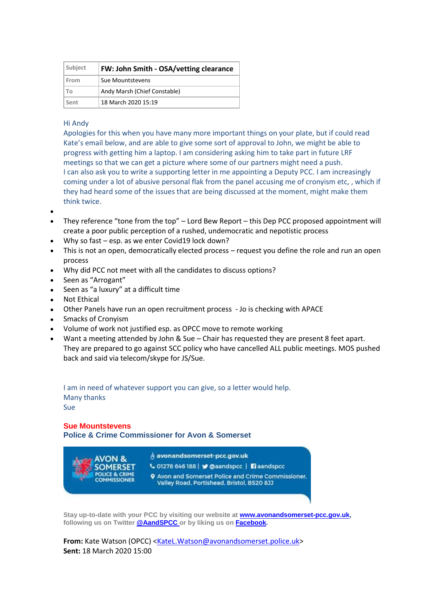| Subject | FW: John Smith - OSA/vetting clearance |
|---------|----------------------------------------|
| From    | Sue Mountstevens                       |
| Т٥      | Andy Marsh (Chief Constable)           |
| Sent    | 18 March 2020 15:19                    |

## Hi Andy

Apologies for this when you have many more important things on your plate, but if could read Kate's email below, and are able to give some sort of approval to John, we might be able to progress with getting him a laptop. I am considering asking him to take part in future LRF meetings so that we can get a picture where some of our partners might need a push. I can also ask you to write a supporting letter in me appointing a Deputy PCC. I am increasingly coming under a lot of abusive personal flak from the panel accusing me of cronyism etc, , which if they had heard some of the issues that are being discussed at the moment, might make them think twice.

- $\bullet$
- They reference "tone from the top" Lord Bew Report this Dep PCC proposed appointment will create a poor public perception of a rushed, undemocratic and nepotistic process
- Why so fast esp. as we enter Covid19 lock down?
- This is not an open, democratically elected process request you define the role and run an open process
- Why did PCC not meet with all the candidates to discuss options?
- Seen as "Arrogant"
- Seen as "a luxury" at a difficult time
- Not Ethical
- Other Panels have run an open recruitment process Jo is checking with APACE
- Smacks of Cronyism
- Volume of work not justified esp. as OPCC move to remote working
- Want a meeting attended by John & Sue Chair has requested they are present 8 feet apart. They are prepared to go against SCC policy who have cancelled ALL public meetings. MOS pushed back and said via telecom/skype for JS/Sue.

I am in need of whatever support you can give, so a letter would help. Many thanks Sue

**Sue Mountstevens Police & Crime Commissioner for Avon & Somerset**



**Stay up-to-date with your PCC by visiting our website at [www.avonandsomerset-pcc.gov.uk,](http://www.avonandsomerset-pcc.gov.uk/) following us on Twitter [@AandSPCC o](https://twitter.com/aandspcc)r by liking us on [Facebook.](http://facebook.com/aandspcc)** 

From: Kate Watson (OPCC) [<KateL.Watson@avonandsomerset.police.uk>](mailto:KateL.Watson@avonandsomerset.police.uk) **Sent:** 18 March 2020 15:00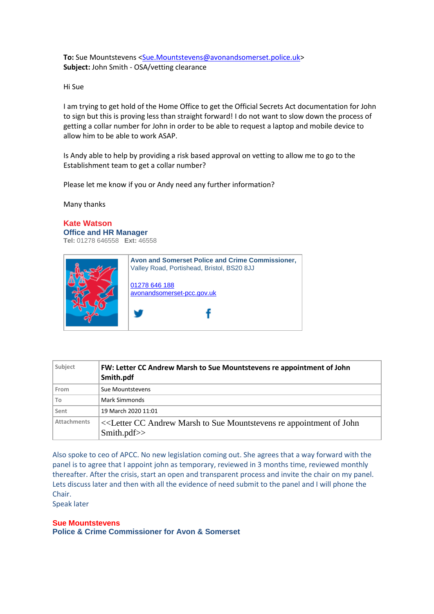**To:** Sue Mountstevens [<Sue.Mountstevens@avonandsomerset.police.uk>](mailto:Sue.Mountstevens@avonandsomerset.police.uk) **Subject:** John Smith - OSA/vetting clearance

Hi Sue

I am trying to get hold of the Home Office to get the Official Secrets Act documentation for John to sign but this is proving less than straight forward! I do not want to slow down the process of getting a collar number for John in order to be able to request a laptop and mobile device to allow him to be able to work ASAP.

Is Andy able to help by providing a risk based approval on vetting to allow me to go to the Establishment team to get a collar number?

Please let me know if you or Andy need any further information?

Many thanks

## **Kate Watson**

**Office and HR Manager Tel:** 01278 646558 **Ext:** 46558



| Subject     | FW: Letter CC Andrew Marsh to Sue Mountstevens re appointment of John<br>Smith.pdf                                               |
|-------------|----------------------------------------------------------------------------------------------------------------------------------|
| From        | Sue Mountstevens                                                                                                                 |
| To          | Mark Simmonds                                                                                                                    |
| Sent        | 19 March 2020 11:01                                                                                                              |
| Attachments | < <letter andrew="" appointment="" cc="" john<br="" marsh="" mountstevens="" of="" re="" sue="" to="">Smith.pdf&gt;&gt;</letter> |

Also spoke to ceo of APCC. No new legislation coming out. She agrees that a way forward with the panel is to agree that I appoint john as temporary, reviewed in 3 months time, reviewed monthly thereafter. After the crisis, start an open and transparent process and invite the chair on my panel. Lets discuss later and then with all the evidence of need submit to the panel and I will phone the Chair.

Speak later

**Sue Mountstevens Police & Crime Commissioner for Avon & Somerset**